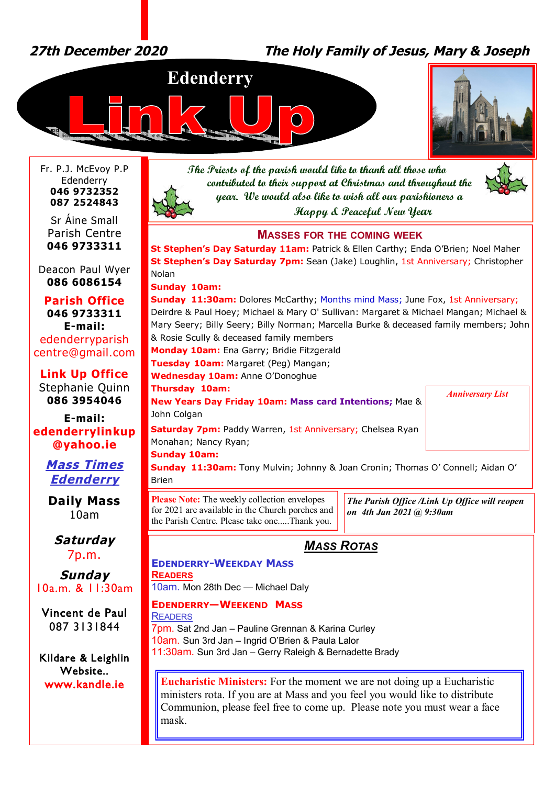# *27th December 2020 The Holy Family of Jesus, Mary & Joseph*





Fr. P.J. McEvoy P.P Edenderry **046 9732352 087 2524843**

Sr Áine Small Parish Centre **046 9733311**

Deacon Paul Wyer **086 6086154**

**Parish Office 046 9733311 E-mail:** edenderryparish [centre@gmail.com](mailto:centre@gmail.com)

**Link Up Office** Stephanie Quinn **086 3954046**

**E-mail: edenderrylinkup [@yahoo.ie](mailto:@yahoo.ie)**

> *Mass Times Edenderry*

**Daily Mass** 10am

*Saturday* 7p.m.

*Sunday* 10a.m. & 11:30am

**Vincent de Paul**  087 3131844

**Kildare & Leighlin Website.. [www.kandle.ie](http://www.kandle.ie)** 



**The Priests of the parish would like to thank all those who contributed to their support at Christmas and throughout the year. We would also like to wish all our parishioners a Happy & Peaceful New Year**



**MASSES FOR THE COMING WEEK**

**St Stephen's Day Saturday 11am:** Patrick & Ellen Carthy; Enda O'Brien; Noel Maher **St Stephen's Day Saturday 7pm:** Sean (Jake) Loughlin, 1st Anniversary; Christopher Nolan

# **Sunday 10am:**

**Sunday 11:30am:** Dolores McCarthy; Months mind Mass; June Fox, 1st Anniversary; Deirdre & Paul Hoey; Michael & Mary O' Sullivan: Margaret & Michael Mangan; Michael & Mary Seery; Billy Seery; Billy Norman; Marcella Burke & deceased family members; John & Rosie Scully & deceased family members

**Monday 10am:** Ena Garry; Bridie Fitzgerald

**Tuesday 10am:** Margaret (Peg) Mangan;

**Wednesday 10am:** Anne O'Donoghue

**Thursday 10am:**

**New Years Day Friday 10am: Mass card Intentions;** Mae & John Colgan

*Anniversary List*

**Saturday 7pm: Paddy Warren, 1st Anniversary; Chelsea Ryan** Monahan; Nancy Ryan;

**Sunday 10am: Sunday 11:30am:** Tony Mulvin; Johnny & Joan Cronin; Thomas O' Connell; Aidan O' Brien

**Please Note:** The weekly collection envelopes for 2021 are available in the Church porches and the Parish Centre. Please take one.....Thank you.

*The Parish Office /Link Up Office will reopen on 4th Jan 2021 @ 9:30am*

# *MASS ROTAS*

# **EDENDERRY-WEEKDAY MASS READERS**

10am. Mon 28th Dec — Michael Daly

# **EDENDERRY—WEEKEND MASS**

**READERS** 7pm. Sat 2nd Jan – Pauline Grennan & Karina Curley 10am. Sun 3rd Jan – Ingrid O'Brien & Paula Lalor 11:30am. Sun 3rd Jan – Gerry Raleigh & Bernadette Brady

**Eucharistic Ministers:** For the moment we are not doing up a Eucharistic ministers rota. If you are at Mass and you feel you would like to distribute Communion, please feel free to come up. Please note you must wear a face mask.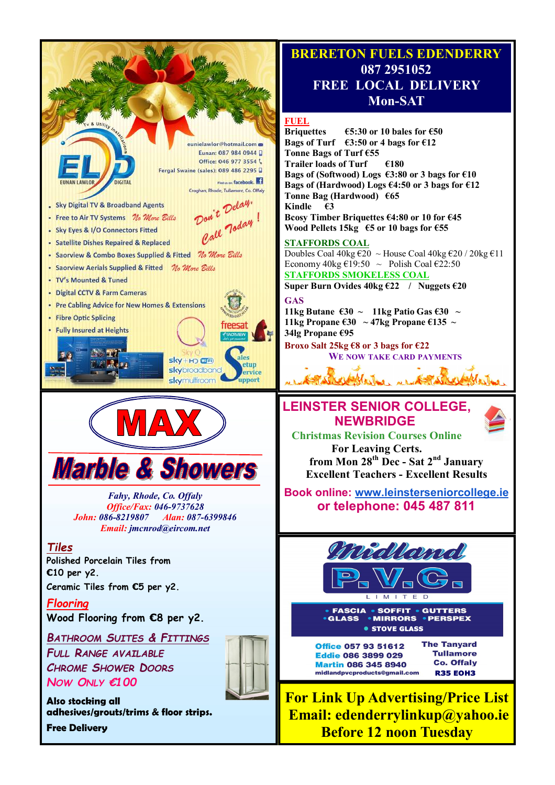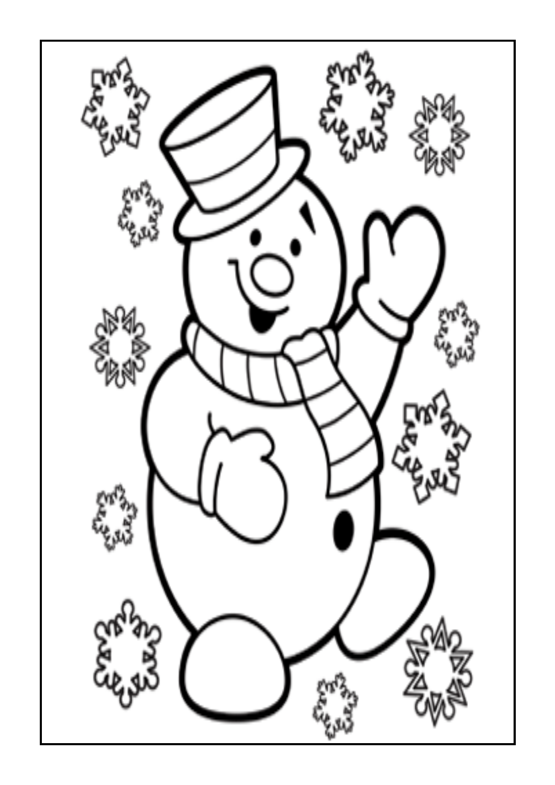